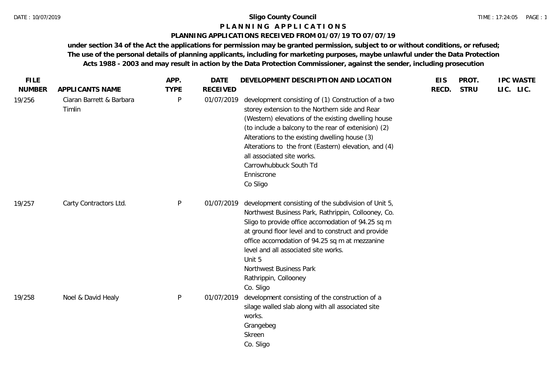#### **P L A N N I N G A P P L I C A T I O N S**

### **PLANNING APPLICATIONS RECEIVED FROM 01/07/19 TO 07/07/19**

|                                    |              |                 |                                                                                                                                                                                                                                                                                                                                                                                                                   |       |             | <b>IPC WASTE</b> |
|------------------------------------|--------------|-----------------|-------------------------------------------------------------------------------------------------------------------------------------------------------------------------------------------------------------------------------------------------------------------------------------------------------------------------------------------------------------------------------------------------------------------|-------|-------------|------------------|
| APPLICANTS NAME                    | <b>TYPE</b>  | <b>RECEIVED</b> |                                                                                                                                                                                                                                                                                                                                                                                                                   | RECD. | <b>STRU</b> | LIC. LIC.        |
| Ciaran Barrett & Barbara<br>Timlin | P            | 01/07/2019      | development consisting of (1) Construction of a two<br>storey extension to the Northern side and Rear<br>(Western) elevations of the existing dwelling house<br>(to include a balcony to the rear of extenision) (2)<br>Alterations to the existing dwelling house (3)<br>Alterations to the front (Eastern) elevation, and (4)<br>all associated site works.<br>Carrowhubbuck South Td<br>Enniscrone<br>Co Sligo |       |             |                  |
| Carty Contractors Ltd.             | $\mathsf{P}$ | 01/07/2019      | development consisting of the subdivision of Unit 5,<br>Northwest Business Park, Rathrippin, Collooney, Co.<br>Sligo to provide office accomodation of 94.25 sq m<br>at ground floor level and to construct and provide<br>office accomodation of 94.25 sq m at mezzanine<br>level and all associated site works.<br>Unit 5<br>Northwest Business Park<br>Rathrippin, Collooney<br>Co. Sligo                      |       |             |                  |
| Noel & David Healy                 | P            | 01/07/2019      | development consisting of the construction of a<br>silage walled slab along with all associated site<br>works.<br>Grangebeg<br>Skreen<br>Co. Sligo                                                                                                                                                                                                                                                                |       |             |                  |
|                                    |              |                 |                                                                                                                                                                                                                                                                                                                                                                                                                   |       |             |                  |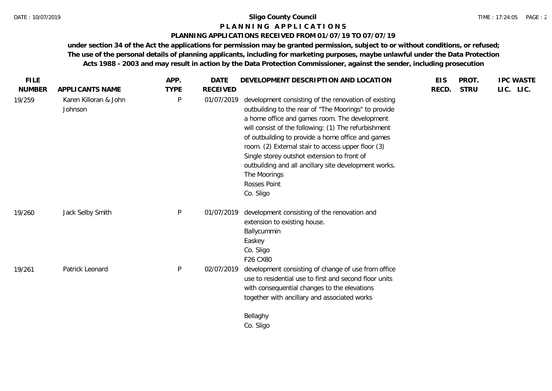#### **P L A N N I N G A P P L I C A T I O N S**

#### **PLANNING APPLICATIONS RECEIVED FROM 01/07/19 TO 07/07/19**

| <b>FILE</b>   |                                  | APP.         | <b>DATE</b>     | DEVELOPMENT DESCRIPTION AND LOCATION                                                                                                                                                                                                                                                                                                                                                                                                                                                  | <b>EIS</b> | PROT.       | <b>IPC WASTE</b> |
|---------------|----------------------------------|--------------|-----------------|---------------------------------------------------------------------------------------------------------------------------------------------------------------------------------------------------------------------------------------------------------------------------------------------------------------------------------------------------------------------------------------------------------------------------------------------------------------------------------------|------------|-------------|------------------|
| <b>NUMBER</b> | APPLICANTS NAME                  | <b>TYPE</b>  | <b>RECEIVED</b> |                                                                                                                                                                                                                                                                                                                                                                                                                                                                                       | RECD.      | <b>STRU</b> | LIC. LIC.        |
| 19/259        | Karen Killoran & John<br>Johnson | $\mathsf{P}$ | 01/07/2019      | development consisting of the renovation of existing<br>outbuilding to the rear of "The Moorings" to provide<br>a home office and games room. The development<br>will consist of the following: (1) The refurbishment<br>of outbuilding to provide a home office and games<br>room. (2) External stair to access upper floor (3)<br>Single storey outshot extension to front of<br>outbuilding and all ancillary site development works.<br>The Moorings<br>Rosses Point<br>Co. Sligo |            |             |                  |
| 19/260        | Jack Selby Smith                 | P            | 01/07/2019      | development consisting of the renovation and<br>extension to existing house.<br>Ballycummin<br>Easkey<br>Co. Sligo<br>F26 CX80                                                                                                                                                                                                                                                                                                                                                        |            |             |                  |
| 19/261        | Patrick Leonard                  | $\mathsf{P}$ | 02/07/2019      | development consisting of change of use from office<br>use to residential use to first and second floor units<br>with consequential changes to the elevations<br>together with ancillary and associated works<br>Bellaghy<br>Co. Sligo                                                                                                                                                                                                                                                |            |             |                  |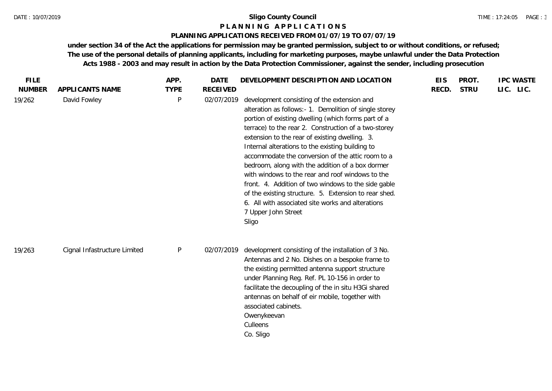#### **P L A N N I N G A P P L I C A T I O N S**

#### **PLANNING APPLICATIONS RECEIVED FROM 01/07/19 TO 07/07/19**

| <b>FILE</b><br><b>NUMBER</b> | APPLICANTS NAME              | APP.<br><b>TYPE</b> | DATE<br><b>RECEIVED</b> | DEVELOPMENT DESCRIPTION AND LOCATION                                                                                                                                                                                                                                                                                                                                                                                                                                                                                                                                                                                                                                                         | <b>EIS</b><br>RECD. | PROT.<br><b>STRU</b> | <b>IPC WASTE</b><br>LIC. LIC. |  |
|------------------------------|------------------------------|---------------------|-------------------------|----------------------------------------------------------------------------------------------------------------------------------------------------------------------------------------------------------------------------------------------------------------------------------------------------------------------------------------------------------------------------------------------------------------------------------------------------------------------------------------------------------------------------------------------------------------------------------------------------------------------------------------------------------------------------------------------|---------------------|----------------------|-------------------------------|--|
| 19/262                       | David Fowley                 | P                   | 02/07/2019              | development consisting of the extension and<br>alteration as follows:- 1. Demolition of single storey<br>portion of existing dwelling (which forms part of a<br>terrace) to the rear 2. Construction of a two-storey<br>extension to the rear of existing dwelling. 3.<br>Internal alterations to the existing building to<br>accommodate the conversion of the attic room to a<br>bedroom, along with the addition of a box dormer<br>with windows to the rear and roof windows to the<br>front. 4. Addition of two windows to the side gable<br>of the existing structure. 5. Extension to rear shed.<br>6. All with associated site works and alterations<br>7 Upper John Street<br>Sligo |                     |                      |                               |  |
| 19/263                       | Cignal Infastructure Limited | $\sf P$             | 02/07/2019              | development consisting of the installation of 3 No.<br>Antennas and 2 No. Dishes on a bespoke frame to<br>the existing permitted antenna support structure<br>under Planning Reg. Ref. PL 10-156 in order to<br>facilitate the decoupling of the in situ H3Gi shared<br>antennas on behalf of eir mobile, together with<br>associated cabinets.<br>Owenykeevan<br>Culleens<br>Co. Sligo                                                                                                                                                                                                                                                                                                      |                     |                      |                               |  |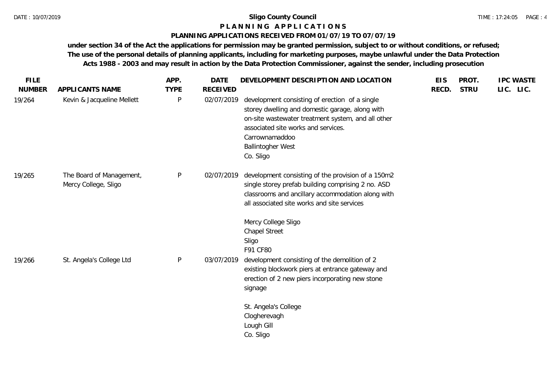#### **P L A N N I N G A P P L I C A T I O N S**

### **PLANNING APPLICATIONS RECEIVED FROM 01/07/19 TO 07/07/19**

| <b>FILE</b>   |                                                  | APP.         | <b>DATE</b>     | DEVELOPMENT DESCRIPTION AND LOCATION                                                                                                                                                                                                                      | <b>EIS</b> | PROT.       | <b>IPC WASTE</b> |
|---------------|--------------------------------------------------|--------------|-----------------|-----------------------------------------------------------------------------------------------------------------------------------------------------------------------------------------------------------------------------------------------------------|------------|-------------|------------------|
| <b>NUMBER</b> | APPLICANTS NAME                                  | <b>TYPE</b>  | <b>RECEIVED</b> |                                                                                                                                                                                                                                                           | RECD.      | <b>STRU</b> | LIC. LIC.        |
| 19/264        | Kevin & Jacqueline Mellett                       | $\sf P$      | 02/07/2019      | development consisting of erection of a single<br>storey dwelling and domestic garage, along with<br>on-site wastewater treatment system, and all other<br>associated site works and services.<br>Carrownamaddoo<br><b>Ballintogher West</b><br>Co. Sligo |            |             |                  |
| 19/265        | The Board of Management,<br>Mercy College, Sligo | $\sf P$      | 02/07/2019      | development consisting of the provision of a 150m2<br>single storey prefab building comprising 2 no. ASD<br>classrooms and ancillary accommodation along with<br>all associated site works and site services                                              |            |             |                  |
| 19/266        | St. Angela's College Ltd                         | $\mathsf{P}$ | 03/07/2019      | Mercy College Sligo<br><b>Chapel Street</b><br>Sligo<br>F91 CF80<br>development consisting of the demolition of 2<br>existing blockwork piers at entrance gateway and<br>erection of 2 new piers incorporating new stone<br>signage                       |            |             |                  |
|               |                                                  |              |                 | St. Angela's College<br>Clogherevagh<br>Lough Gill<br>Co. Sligo                                                                                                                                                                                           |            |             |                  |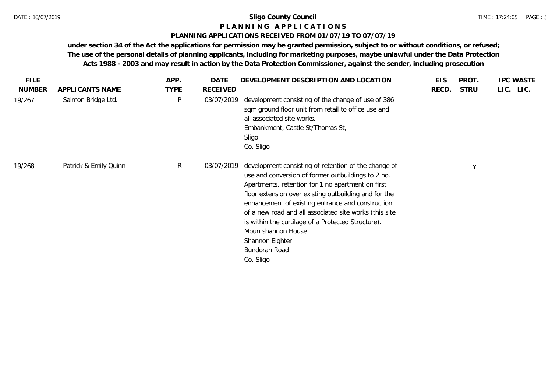## **P L A N N I N G A P P L I C A T I O N S**

#### **PLANNING APPLICATIONS RECEIVED FROM 01/07/19 TO 07/07/19**

| <b>FILE</b>   |                       | APP.        | <b>DATE</b> | DEVELOPMENT DESCRIPTION AND LOCATION                                                                                                                                                                                                                                                                                                                                                                                                                                 | <b>EIS</b> | PROT.       | <b>IPC WASTE</b> |
|---------------|-----------------------|-------------|-------------|----------------------------------------------------------------------------------------------------------------------------------------------------------------------------------------------------------------------------------------------------------------------------------------------------------------------------------------------------------------------------------------------------------------------------------------------------------------------|------------|-------------|------------------|
| <b>NUMBER</b> | APPLICANTS NAME       | <b>TYPE</b> | RECEIVED    |                                                                                                                                                                                                                                                                                                                                                                                                                                                                      | RECD.      | <b>STRU</b> | LIC. LIC.        |
| 19/267        | Salmon Bridge Ltd.    | P           | 03/07/2019  | development consisting of the change of use of 386<br>sqm ground floor unit from retail to office use and<br>all associated site works.<br>Embankment, Castle St/Thomas St,<br>Sligo<br>Co. Sligo                                                                                                                                                                                                                                                                    |            |             |                  |
| 19/268        | Patrick & Emily Quinn | R           | 03/07/2019  | development consisting of retention of the change of<br>use and conversion of former outbuildings to 2 no.<br>Apartments, retention for 1 no apartment on first<br>floor extension over existing outbuilding and for the<br>enhancement of existing entrance and construction<br>of a new road and all associated site works (this site<br>is within the curtilage of a Protected Structure).<br>Mountshannon House<br>Shannon Eighter<br>Bundoran Road<br>Co. Sligo |            | $\vee$      |                  |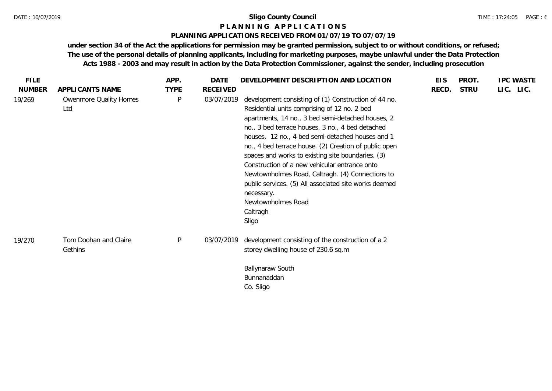#### **P L A N N I N G A P P L I C A T I O N S**

#### **PLANNING APPLICATIONS RECEIVED FROM 01/07/19 TO 07/07/19**

| <b>FILE</b>   |                                  | APP.        | DATE       | DEVELOPMENT DESCRIPTION AND LOCATION                                                                                                                                                                                                                                                                                                                                                                                                                                                                                                                                                                   | <b>EIS</b> | PROT.       | <b>IPC WASTE</b> |
|---------------|----------------------------------|-------------|------------|--------------------------------------------------------------------------------------------------------------------------------------------------------------------------------------------------------------------------------------------------------------------------------------------------------------------------------------------------------------------------------------------------------------------------------------------------------------------------------------------------------------------------------------------------------------------------------------------------------|------------|-------------|------------------|
| <b>NUMBER</b> | APPLICANTS NAME                  | <b>TYPE</b> | RECEIVED   |                                                                                                                                                                                                                                                                                                                                                                                                                                                                                                                                                                                                        | RECD.      | <b>STRU</b> | LIC. LIC.        |
| 19/269        | Owenmore Quality Homes<br>Ltd    | P           | 03/07/2019 | development consisting of (1) Construction of 44 no.<br>Residential units comprising of 12 no. 2 bed<br>apartments, 14 no., 3 bed semi-detached houses, 2<br>no., 3 bed terrace houses, 3 no., 4 bed detached<br>houses, 12 no., 4 bed semi-detached houses and 1<br>no., 4 bed terrace house. (2) Creation of public open<br>spaces and works to existing site boundaries. (3)<br>Construction of a new vehicular entrance onto<br>Newtownholmes Road, Caltragh. (4) Connections to<br>public services. (5) All associated site works deemed<br>necessary.<br>Newtownholmes Road<br>Caltragh<br>Sligo |            |             |                  |
| 19/270        | Tom Doohan and Claire<br>Gethins | $\sf P$     | 03/07/2019 | development consisting of the construction of a 2<br>storey dwelling house of 230.6 sq.m<br>Ballynaraw South<br>Bunnanaddan<br>Co. Sligo                                                                                                                                                                                                                                                                                                                                                                                                                                                               |            |             |                  |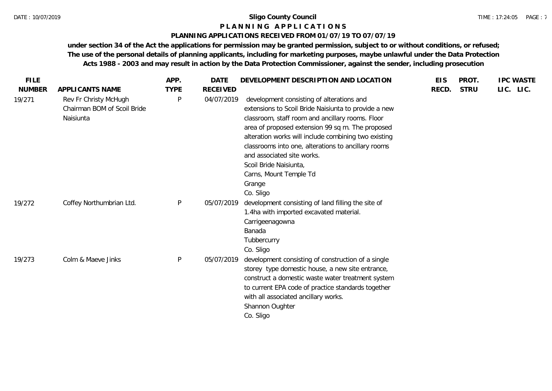#### **P L A N N I N G A P P L I C A T I O N S**

### **PLANNING APPLICATIONS RECEIVED FROM 01/07/19 TO 07/07/19**

| <b>FILE</b>   |                                                                   | APP.        | <b>DATE</b>     | DEVELOPMENT DESCRIPTION AND LOCATION                                                                                                                                                                                                                                                                                                                                                                                              | <b>EIS</b> | PROT.       | <b>IPC WASTE</b> |
|---------------|-------------------------------------------------------------------|-------------|-----------------|-----------------------------------------------------------------------------------------------------------------------------------------------------------------------------------------------------------------------------------------------------------------------------------------------------------------------------------------------------------------------------------------------------------------------------------|------------|-------------|------------------|
| <b>NUMBER</b> | APPLICANTS NAME                                                   | <b>TYPE</b> | <b>RECEIVED</b> |                                                                                                                                                                                                                                                                                                                                                                                                                                   | RECD.      | <b>STRU</b> | LIC. LIC.        |
| 19/271        | Rev Fr Christy McHugh<br>Chairman BOM of Scoil Bride<br>Naisiunta | P           | 04/07/2019      | development consisting of alterations and<br>extensions to Scoil Bride Naisiunta to provide a new<br>classroom, staff room and ancillary rooms. Floor<br>area of proposed extension 99 sq m. The proposed<br>alteration works will include combining two existing<br>classrooms into one, alterations to ancillary rooms<br>and associated site works.<br>Scoil Bride Naisiunta,<br>Carns, Mount Temple Td<br>Grange<br>Co. Sligo |            |             |                  |
| 19/272        | Coffey Northumbrian Ltd.                                          | P           | 05/07/2019      | development consisting of land filling the site of<br>1.4ha with imported excavated material.<br>Carrigeenagowna<br>Banada<br>Tubbercurry<br>Co. Sligo                                                                                                                                                                                                                                                                            |            |             |                  |
| 19/273        | Colm & Maeve Jinks                                                | P           | 05/07/2019      | development consisting of construction of a single<br>storey type domestic house, a new site entrance,<br>construct a domestic waste water treatment system<br>to current EPA code of practice standards together<br>with all associated ancillary works.<br>Shannon Oughter<br>Co. Sligo                                                                                                                                         |            |             |                  |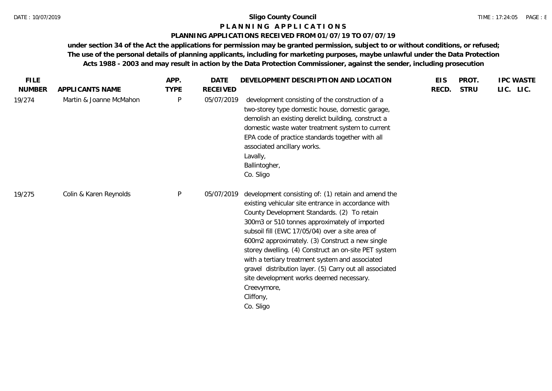# **P L A N N I N G A P P L I C A T I O N S**

## **PLANNING APPLICATIONS RECEIVED FROM 01/07/19 TO 07/07/19**

| <b>FILE</b>   |                         | APP.         | DATE            | DEVELOPMENT DESCRIPTION AND LOCATION                                                                                                                                                                                                                                                                                                                                                                                                                                                                                                                                        | <b>EIS</b> | PROT.       | <b>IPC WASTE</b> |
|---------------|-------------------------|--------------|-----------------|-----------------------------------------------------------------------------------------------------------------------------------------------------------------------------------------------------------------------------------------------------------------------------------------------------------------------------------------------------------------------------------------------------------------------------------------------------------------------------------------------------------------------------------------------------------------------------|------------|-------------|------------------|
| <b>NUMBER</b> | APPLICANTS NAME         | <b>TYPE</b>  | <b>RECEIVED</b> |                                                                                                                                                                                                                                                                                                                                                                                                                                                                                                                                                                             | RECD.      | <b>STRU</b> | LIC. LIC.        |
| 19/274        | Martin & Joanne McMahon | $\mathsf{P}$ | 05/07/2019      | development consisting of the construction of a<br>two-storey type domestic house, domestic garage,<br>demolish an existing derelict building, construct a<br>domestic waste water treatment system to current<br>EPA code of practice standards together with all<br>associated ancillary works.<br>Lavally,<br>Ballintogher,<br>Co. Sligo                                                                                                                                                                                                                                 |            |             |                  |
| 19/275        | Colin & Karen Reynolds  | $\sf P$      | 05/07/2019      | development consisting of: (1) retain and amend the<br>existing vehicular site entrance in accordance with<br>County Development Standards. (2) To retain<br>300m3 or 510 tonnes approximately of imported<br>subsoil fill (EWC 17/05/04) over a site area of<br>600m2 approximately. (3) Construct a new single<br>storey dwelling. (4) Construct an on-site PET system<br>with a tertiary treatment system and associated<br>gravel distribution layer. (5) Carry out all associated<br>site development works deemed necessary.<br>Creevymore,<br>Cliffony,<br>Co. Sligo |            |             |                  |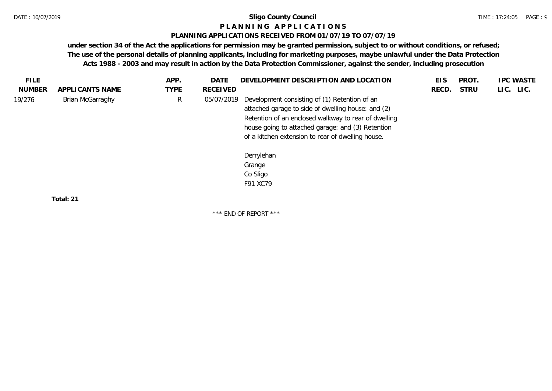#### **P L A N N I N G A P P L I C A T I O N S**

#### **PLANNING APPLICATIONS RECEIVED FROM 01/07/19 TO 07/07/19**

**under section 34 of the Act the applications for permission may be granted permission, subject to or without conditions, or refused; The use of the personal details of planning applicants, including for marketing purposes, maybe unlawful under the Data Protection Acts 1988 - 2003 and may result in action by the Data Protection Commissioner, against the sender, including prosecution**

| FILE.         |                  | APP.        | <b>DATE</b> | DEVELOPMENT DESCRIPTION AND LOCATION                                                                                                                                                                                                                                                          | EIS   | <b>PROT</b> | <b>IPC WASTE</b> |
|---------------|------------------|-------------|-------------|-----------------------------------------------------------------------------------------------------------------------------------------------------------------------------------------------------------------------------------------------------------------------------------------------|-------|-------------|------------------|
| <b>NUMBER</b> | APPLICANTS NAME  | <b>TYPE</b> | RECEIVED    |                                                                                                                                                                                                                                                                                               | RECD. | <b>STRU</b> | LIC. LIC.        |
| 19/276        | Brian McGarraghy | R           | 05/07/2019  | Development consisting of (1) Retention of an<br>attached garage to side of dwelling house: and (2)<br>Retention of an enclosed walkway to rear of dwelling<br>house going to attached garage: and (3) Retention<br>of a kitchen extension to rear of dwelling house.<br>Derrylehan<br>Grange |       |             |                  |
|               |                  |             |             | Co Sligo                                                                                                                                                                                                                                                                                      |       |             |                  |
|               |                  |             |             | F91 XC79                                                                                                                                                                                                                                                                                      |       |             |                  |
|               | Total: 21        |             |             |                                                                                                                                                                                                                                                                                               |       |             |                  |

\*\*\* END OF REPORT \*\*\*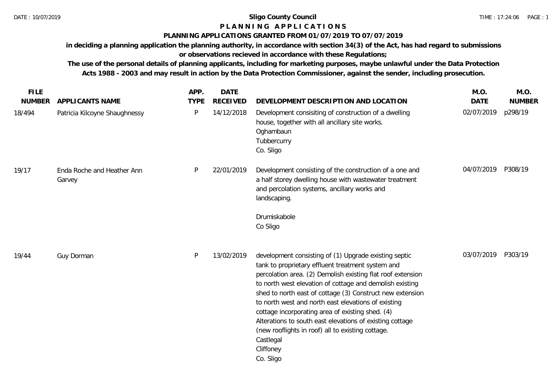## **P L A N N I N G A P P L I C A T I O N S**

#### **PLANNING APPLICATIONS GRANTED FROM 01/07/2019 TO 07/07/2019**

**in deciding a planning application the planning authority, in accordance with section 34(3) of the Act, has had regard to submissions or observations recieved in accordance with these Regulations;**

**The use of the personal details of planning applicants, including for marketing purposes, maybe unlawful under the Data Protection Acts 1988 - 2003 and may result in action by the Data Protection Commissioner, against the sender, including prosecution.**

| <b>FILE</b>   |                                      | APP.        | <b>DATE</b>     |                                                                                                                                                                                                                                                                                                                                                                                                                                                                                                                                                                       | M.O.        | M.O.          |
|---------------|--------------------------------------|-------------|-----------------|-----------------------------------------------------------------------------------------------------------------------------------------------------------------------------------------------------------------------------------------------------------------------------------------------------------------------------------------------------------------------------------------------------------------------------------------------------------------------------------------------------------------------------------------------------------------------|-------------|---------------|
| <b>NUMBER</b> | APPLICANTS NAME                      | <b>TYPE</b> | <b>RECEIVED</b> | DEVELOPMENT DESCRIPTION AND LOCATION                                                                                                                                                                                                                                                                                                                                                                                                                                                                                                                                  | <b>DATE</b> | <b>NUMBER</b> |
| 18/494        | Patricia Kilcoyne Shaughnessy        | P           | 14/12/2018      | Development consisiting of construction of a dwelling<br>house, together with all ancillary site works.<br>Oghambaun<br>Tubbercurry<br>Co. Sligo                                                                                                                                                                                                                                                                                                                                                                                                                      | 02/07/2019  | p298/19       |
| 19/17         | Enda Roche and Heather Ann<br>Garvey | P           | 22/01/2019      | Development consisting of the construction of a one and<br>a half storey dwelling house with wastewater treatment<br>and percolation systems, ancillary works and<br>landscaping.<br>Drumiskabole<br>Co Sligo                                                                                                                                                                                                                                                                                                                                                         | 04/07/2019  | P308/19       |
| 19/44         | Guy Dorman                           | P           | 13/02/2019      | development consisting of (1) Upgrade existing septic<br>tank to proprietary effluent treatment system and<br>percolation area. (2) Demolish existing flat roof extension<br>to north west elevation of cottage and demolish existing<br>shed to north east of cottage (3) Construct new extension<br>to north west and north east elevations of existing<br>cottage incorporating area of existing shed. (4)<br>Alterations to south east elevations of existing cottage<br>(new rooflights in roof) all to existing cottage.<br>Castlegal<br>Cliffoney<br>Co. Sligo | 03/07/2019  | P303/19       |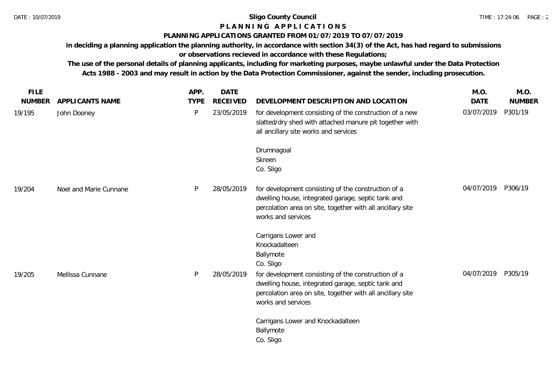## **P L A N N I N G A P P L I C A T I O N S**

## **PLANNING APPLICATIONS GRANTED FROM 01/07/2019 TO 07/07/2019**

**in deciding a planning application the planning authority, in accordance with section 34(3) of the Act, has had regard to submissions or observations recieved in accordance with these Regulations;**

**The use of the personal details of planning applicants, including for marketing purposes, maybe unlawful under the Data Protection Acts 1988 - 2003 and may result in action by the Data Protection Commissioner, against the sender, including prosecution.**

| <b>FILE</b>   |                        | APP.        | <b>DATE</b>     |                                                                                                                                                                                               | M.O.        | M.O.          |
|---------------|------------------------|-------------|-----------------|-----------------------------------------------------------------------------------------------------------------------------------------------------------------------------------------------|-------------|---------------|
| <b>NUMBER</b> | APPLICANTS NAME        | <b>TYPE</b> | <b>RECEIVED</b> | DEVELOPMENT DESCRIPTION AND LOCATION                                                                                                                                                          | <b>DATE</b> | <b>NUMBER</b> |
| 19/195        | John Dooney            | P           | 23/05/2019      | for development consisting of the construction of a new<br>slatted/dry shed with attached manure pit together with<br>all ancillary site works and services                                   | 03/07/2019  | P301/19       |
|               |                        |             |                 | Drumnagoal<br>Skreen<br>Co. Sligo                                                                                                                                                             |             |               |
| 19/204        | Noel and Marie Cunnane | P           | 28/05/2019      | for development consisting of the construction of a<br>dwelling house, integrated garage, septic tank and<br>percolation area on site, together with all ancillary site<br>works and services | 04/07/2019  | P306/19       |
|               |                        |             |                 | Carrigans Lower and<br>Knockadalteen<br>Ballymote<br>Co. Sligo                                                                                                                                |             |               |
| 19/205        | Mellissa Cunnane       | P           | 28/05/2019      | for development consisting of the construction of a<br>dwelling house, integrated garage, septic tank and<br>percolation area on site, together with all ancillary site<br>works and services | 04/07/2019  | P305/19       |
|               |                        |             |                 | Carrigans Lower and Knockadalteen<br>Ballymote<br>Co. Sligo                                                                                                                                   |             |               |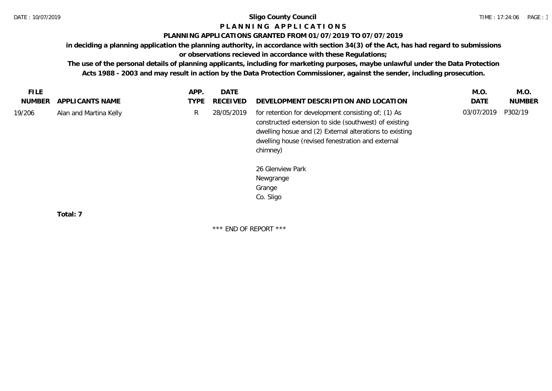## **P L A N N I N G A P P L I C A T I O N S**

#### **PLANNING APPLICATIONS GRANTED FROM 01/07/2019 TO 07/07/2019**

**in deciding a planning application the planning authority, in accordance with section 34(3) of the Act, has had regard to submissions** 

**or observations recieved in accordance with these Regulations;**

**The use of the personal details of planning applicants, including for marketing purposes, maybe unlawful under the Data Protection Acts 1988 - 2003 and may result in action by the Data Protection Commissioner, against the sender, including prosecution.**

| FILE.<br>NUMBER | APPLI CANTS NAME       | APP.<br><b>TYPE</b> | DATE<br>RECEIVED | DEVELOPMENT DESCRIPTION AND LOCATION                                                                                                                                                                                                     | M.O.<br>DATE | M.O.<br><b>NUMBER</b> |
|-----------------|------------------------|---------------------|------------------|------------------------------------------------------------------------------------------------------------------------------------------------------------------------------------------------------------------------------------------|--------------|-----------------------|
| 19/206          | Alan and Martina Kelly | R.                  | 28/05/2019       | for retention for development consisting of; (1) As<br>constructed extension to side (southwest) of existing<br>dwelling hosue and (2) External alterations to existing<br>dwelling house (revised fenestration and external<br>chimney) | 03/07/2019   | P302/19               |
|                 |                        |                     |                  | 26 Glenview Park<br>Newgrange<br>Grange                                                                                                                                                                                                  |              |                       |

Co. Sligo

**Total: 7**

\*\*\* END OF REPORT \*\*\*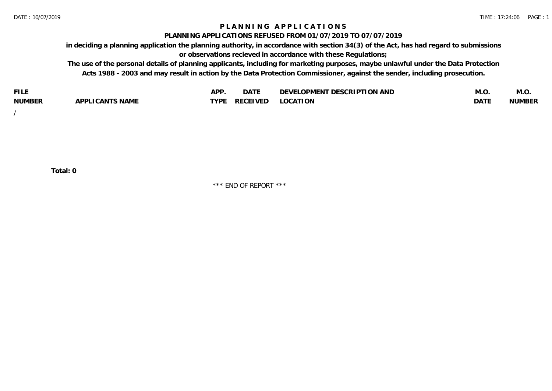### **P L A N N I N G A P P L I C A T I O N S**

#### **PLANNING APPLICATIONS REFUSED FROM 01/07/2019 TO 07/07/2019**

**in deciding a planning application the planning authority, in accordance with section 34(3) of the Act, has had regard to submissions or observations recieved in accordance with these Regulations;**

**The use of the personal details of planning applicants, including for marketing purposes, maybe unlawful under the Data Protection Acts 1988 - 2003 and may result in action by the Data Protection Commissioner, against the sender, including prosecution.**

| <b>FILE</b>   |                                                     | A DE        | $\sim$ $\sim$ $\sim$<br>DA I | <b>ENT DESCRIPTION AND</b><br>$\cap$ nn.<br>)E\/F<br>. JIEN L<br>பட | IVI.U       | IVI.U         |
|---------------|-----------------------------------------------------|-------------|------------------------------|---------------------------------------------------------------------|-------------|---------------|
| <b>NUMBER</b> | <b>ANTS NAME</b><br>A DDI<br>$\sqrt{2}$<br>CAN<br>u | <b>TVDL</b> | ◡⊢                           | <b>OCATION</b>                                                      | <b>DATF</b> | <b>NUMBER</b> |

/

**Total: 0**

\*\*\* END OF REPORT \*\*\*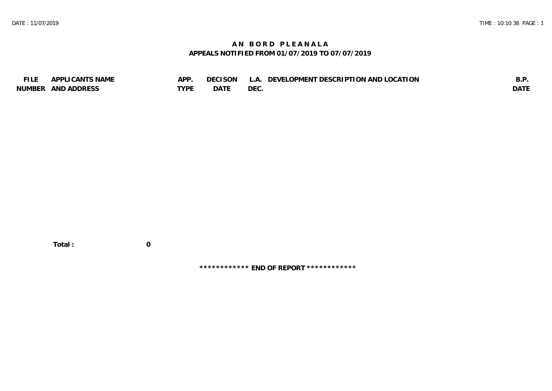## **A N B O R D P L E A N A L A APPEALS NOTIFIED FROM 01/07/2019 TO 07/07/2019**

| <b>FILE</b> | APPLICANTS NAME    | APP  | DECISON L   | L.A. DEVELOPMENT DESCRIPTION AND LOCATION | B.F         |
|-------------|--------------------|------|-------------|-------------------------------------------|-------------|
|             | NUMBER AND ADDRESS | TYPE | <b>DATE</b> | <b>DEC</b>                                | <b>DATE</b> |

 **Total : 0**

**\*\*\*\*\*\*\*\*\*\*\*\* END OF REPORT \*\*\*\*\*\*\*\*\*\*\*\***